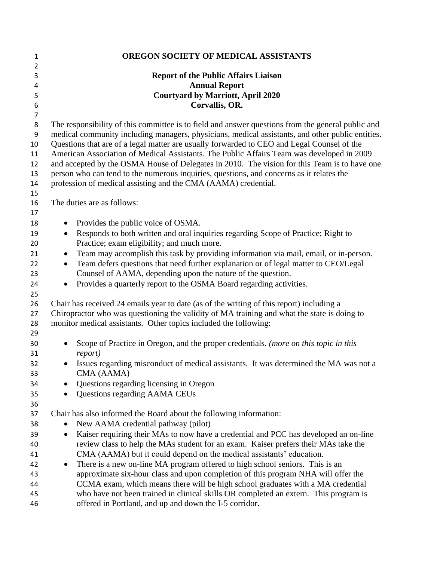| $\mathbf{1}$     | <b>OREGON SOCIETY OF MEDICAL ASSISTANTS</b>                                                                                                    |
|------------------|------------------------------------------------------------------------------------------------------------------------------------------------|
| $\overline{2}$   |                                                                                                                                                |
| 3                | <b>Report of the Public Affairs Liaison</b>                                                                                                    |
| 4                | <b>Annual Report</b>                                                                                                                           |
| 5                | <b>Courtyard by Marriott, April 2020</b>                                                                                                       |
| 6                | Corvallis, OR.                                                                                                                                 |
| $\overline{7}$   |                                                                                                                                                |
| 8                | The responsibility of this committee is to field and answer questions from the general public and                                              |
| $\boldsymbol{9}$ | medical community including managers, physicians, medical assistants, and other public entities.                                               |
| 10               | Questions that are of a legal matter are usually forwarded to CEO and Legal Counsel of the                                                     |
| 11               | American Association of Medical Assistants. The Public Affairs Team was developed in 2009                                                      |
| 12               | and accepted by the OSMA House of Delegates in 2010. The vision for this Team is to have one                                                   |
| 13               | person who can tend to the numerous inquiries, questions, and concerns as it relates the                                                       |
| 14               | profession of medical assisting and the CMA (AAMA) credential.                                                                                 |
| 15<br>16         | The duties are as follows:                                                                                                                     |
| 17               |                                                                                                                                                |
| 18               | Provides the public voice of OSMA.<br>$\bullet$                                                                                                |
| 19               | Responds to both written and oral inquiries regarding Scope of Practice; Right to<br>$\bullet$                                                 |
| 20               | Practice; exam eligibility; and much more.                                                                                                     |
| 21               | Team may accomplish this task by providing information via mail, email, or in-person.<br>$\bullet$                                             |
| 22               | Team defers questions that need further explanation or of legal matter to CEO/Legal<br>$\bullet$                                               |
| 23               | Counsel of AAMA, depending upon the nature of the question.                                                                                    |
| 24               | Provides a quarterly report to the OSMA Board regarding activities.<br>$\bullet$                                                               |
| 25               |                                                                                                                                                |
| 26               | Chair has received 24 emails year to date (as of the writing of this report) including a                                                       |
| 27               | Chiropractor who was questioning the validity of MA training and what the state is doing to                                                    |
| 28               | monitor medical assistants. Other topics included the following:                                                                               |
| 29               |                                                                                                                                                |
| 30               | Scope of Practice in Oregon, and the proper credentials. (more on this topic in this<br>$\bullet$                                              |
| 31               | <i>report</i> )                                                                                                                                |
| 32               | Issues regarding misconduct of medical assistants. It was determined the MA was not a<br>$\bullet$                                             |
| 33               | CMA (AAMA)                                                                                                                                     |
| 34               | Questions regarding licensing in Oregon                                                                                                        |
| 35               | Questions regarding AAMA CEUs                                                                                                                  |
| 36               |                                                                                                                                                |
| 37               | Chair has also informed the Board about the following information:                                                                             |
| 38               | New AAMA credential pathway (pilot)                                                                                                            |
| 39               | Kaiser requiring their MAs to now have a credential and PCC has developed an on-line<br>$\bullet$                                              |
| 40               | review class to help the MAs student for an exam. Kaiser prefers their MAs take the                                                            |
| 41               | CMA (AAMA) but it could depend on the medical assistants' education.                                                                           |
| 42               | There is a new on-line MA program offered to high school seniors. This is an<br>$\bullet$                                                      |
| 43               | approximate six-hour class and upon completion of this program NHA will offer the                                                              |
| 44               | CCMA exam, which means there will be high school graduates with a MA credential                                                                |
| 45<br>46         | who have not been trained in clinical skills OR completed an extern. This program is<br>offered in Portland, and up and down the I-5 corridor. |
|                  |                                                                                                                                                |